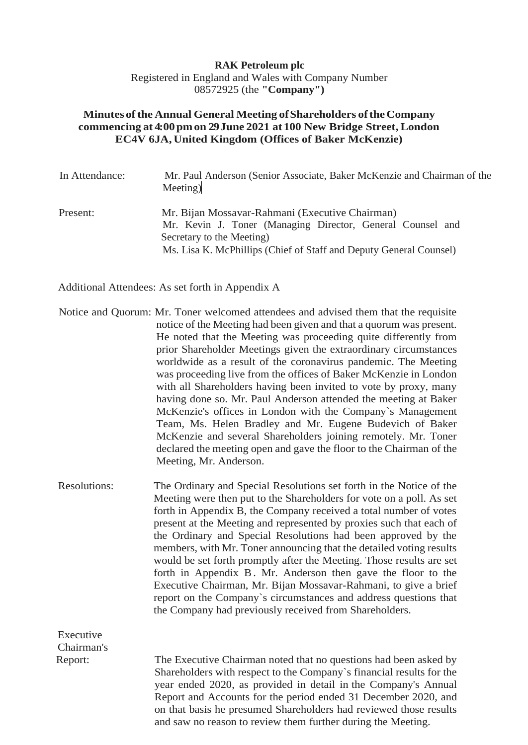## **RAK Petroleum plc** Registered in England and Wales with Company Number 08572925 (the **"Company")**

## **Minutes ofthe Annual General Meeting ofShareholders oftheCompany commencing at 4:00pmon 29June 2021 at 100 New Bridge Street, London EC4V 6JA, United Kingdom (Offices of Baker McKenzie)**

| In Attendance: | Mr. Paul Anderson (Senior Associate, Baker McKenzie and Chairman of the<br>Meeting)                                                                                                                              |
|----------------|------------------------------------------------------------------------------------------------------------------------------------------------------------------------------------------------------------------|
| Present:       | Mr. Bijan Mossavar-Rahmani (Executive Chairman)<br>Mr. Kevin J. Toner (Managing Director, General Counsel and<br>Secretary to the Meeting)<br>Ms. Lisa K. McPhillips (Chief of Staff and Deputy General Counsel) |

Additional Attendees: As set forth in Appendix A

Executive

- Notice and Quorum: Mr. Toner welcomed attendees and advised them that the requisite notice of the Meeting had been given and that a quorum was present. He noted that the Meeting was proceeding quite differently from prior Shareholder Meetings given the extraordinary circumstances worldwide as a result of the coronavirus pandemic. The Meeting was proceeding live from the offices of Baker McKenzie in London with all Shareholders having been invited to vote by proxy, many having done so. Mr. Paul Anderson attended the meeting at Baker McKenzie's offices in London with the Company`s Management Team, Ms. Helen Bradley and Mr. Eugene Budevich of Baker McKenzie and several Shareholders joining remotely. Mr. Toner declared the meeting open and gave the floor to the Chairman of the Meeting, Mr. Anderson.
- Resolutions: The Ordinary and Special Resolutions set forth in the Notice of the Meeting were then put to the Shareholders for vote on a poll. As set forth in Appendix B, the Company received a total number of votes present at the Meeting and represented by proxies such that each of the Ordinary and Special Resolutions had been approved by the members, with Mr. Toner announcing that the detailed voting results would be set forth promptly after the Meeting. Those results are set forth in Appendix B. Mr. Anderson then gave the floor to the Executive Chairman, Mr. Bijan Mossavar-Rahmani, to give a brief report on the Company`s circumstances and address questions that the Company had previously received from Shareholders.

Chairman's Report: The Executive Chairman noted that no questions had been asked by Shareholders with respect to the Company`s financial results for the year ended 2020, as provided in detail in the Company's Annual Report and Accounts for the period ended 31 December 2020, and on that basis he presumed Shareholders had reviewed those results and saw no reason to review them further during the Meeting.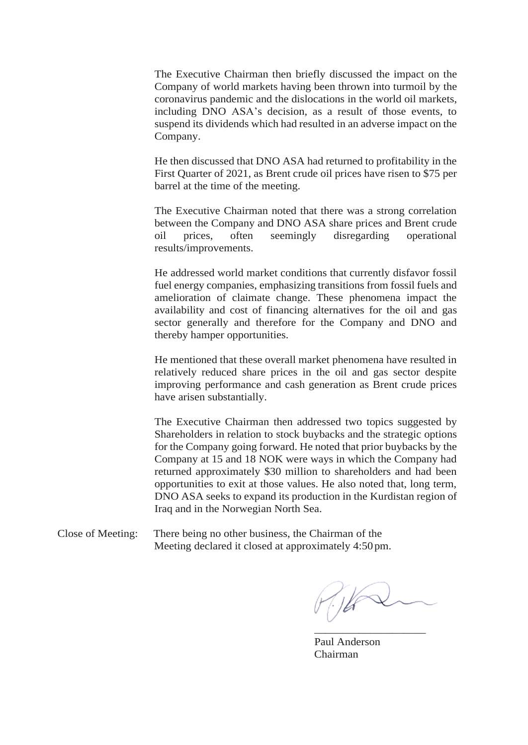The Executive Chairman then briefly discussed the impact on the Company of world markets having been thrown into turmoil by the coronavirus pandemic and the dislocations in the world oil markets, including DNO ASA's decision, as a result of those events, to suspend its dividends which had resulted in an adverse impact on the Company.

He then discussed that DNO ASA had returned to profitability in the First Quarter of 2021, as Brent crude oil prices have risen to \$75 per barrel at the time of the meeting.

The Executive Chairman noted that there was a strong correlation between the Company and DNO ASA share prices and Brent crude oil prices, often seemingly disregarding operational results/improvements.

He addressed world market conditions that currently disfavor fossil fuel energy companies, emphasizing transitions from fossil fuels and amelioration of claimate change. These phenomena impact the availability and cost of financing alternatives for the oil and gas sector generally and therefore for the Company and DNO and thereby hamper opportunities.

He mentioned that these overall market phenomena have resulted in relatively reduced share prices in the oil and gas sector despite improving performance and cash generation as Brent crude prices have arisen substantially.

The Executive Chairman then addressed two topics suggested by Shareholders in relation to stock buybacks and the strategic options for the Company going forward. He noted that prior buybacks by the Company at 15 and 18 NOK were ways in which the Company had returned approximately \$30 million to shareholders and had been opportunities to exit at those values. He also noted that, long term, DNO ASA seeks to expand its production in the Kurdistan region of Iraq and in the Norwegian North Sea.

Close of Meeting: There being no other business, the Chairman of the Meeting declared it closed at approximately 4:50pm.

\_\_\_\_\_\_\_\_\_\_\_\_\_\_\_\_\_\_\_\_

Paul Anderson Chairman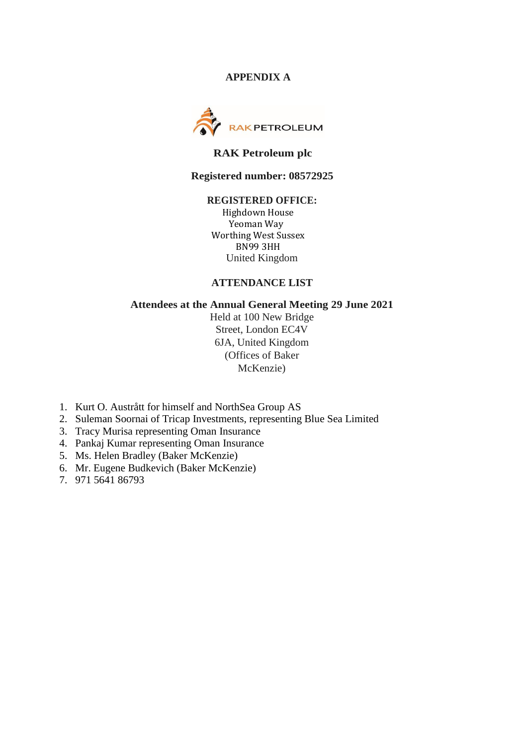### **APPENDIX A**



## **RAK Petroleum plc**

#### **Registered number: 08572925**

## **REGISTERED OFFICE:**

Highdown House Yeoman Way Worthing West Sussex BN99 3HH United Kingdom

### **ATTENDANCE LIST**

### **Attendees at the Annual General Meeting 29 June 2021**

Held at 100 New Bridge Street, London EC4V 6JA, United Kingdom (Offices of Baker McKenzie)

- 1. Kurt O. Austrått for himself and NorthSea Group AS
- 2. Suleman Soornai of Tricap Investments, representing Blue Sea Limited
- 3. Tracy Murisa representing Oman Insurance
- 4. Pankaj Kumar representing Oman Insurance
- 5. Ms. Helen Bradley (Baker McKenzie)
- 6. Mr. Eugene Budkevich (Baker McKenzie)
- 7. 971 5641 86793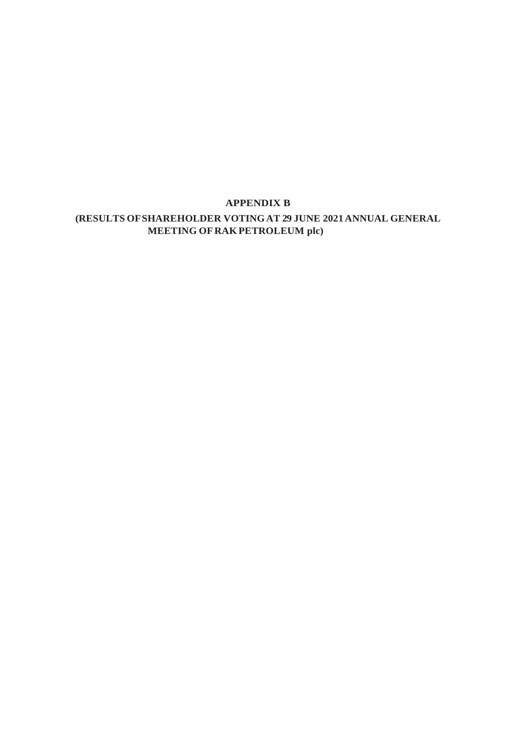# **APPENDIX B**

# **(RESULTS OFSHAREHOLDER VOTINGAT 29 JUNE 2021 ANNUAL GENERAL MEETING OF RAK PETROLEUM plc)**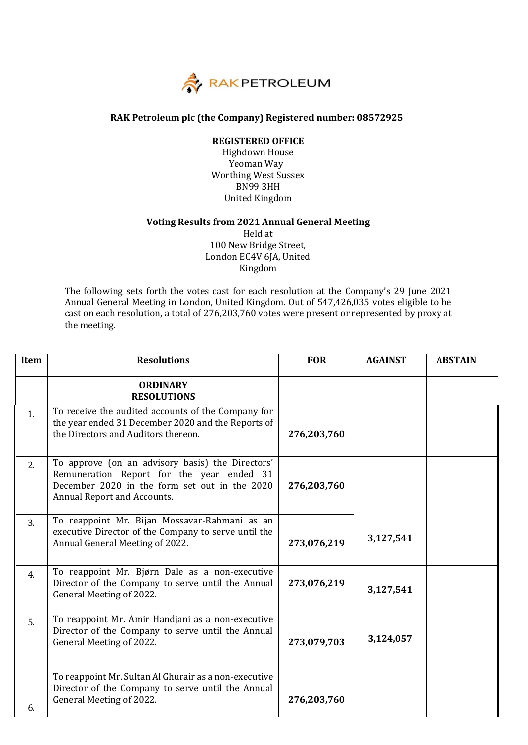

#### **RAK Petroleum plc (the Company) Registered number: 08572925**

#### **REGISTERED OFFICE**

Highdown House Yeoman Way Worthing West Sussex BN99 3HH United Kingdom

#### **Voting Results from 2021 Annual General Meeting**

Held at 100 New Bridge Street, London EC4V 6JA, United Kingdom

The following sets forth the votes cast for each resolution at the Company's 29 June 2021 Annual General Meeting in London, United Kingdom. Out of 547,426,035 votes eligible to be cast on each resolution, a total of 276,203,760 votes were present or represented by proxy at the meeting.

| Item           | <b>Resolutions</b>                                                                                                                                                            | <b>FOR</b>  | <b>AGAINST</b> | <b>ABSTAIN</b> |
|----------------|-------------------------------------------------------------------------------------------------------------------------------------------------------------------------------|-------------|----------------|----------------|
|                | <b>ORDINARY</b><br><b>RESOLUTIONS</b>                                                                                                                                         |             |                |                |
| 1 <sub>1</sub> | To receive the audited accounts of the Company for<br>the year ended 31 December 2020 and the Reports of<br>the Directors and Auditors thereon.                               | 276,203,760 |                |                |
| 2.             | To approve (on an advisory basis) the Directors'<br>Remuneration Report for the year ended 31<br>December 2020 in the form set out in the 2020<br>Annual Report and Accounts. | 276,203,760 |                |                |
| 3.             | To reappoint Mr. Bijan Mossavar-Rahmani as an<br>executive Director of the Company to serve until the<br>Annual General Meeting of 2022.                                      | 273,076,219 | 3,127,541      |                |
| 4.             | To reappoint Mr. Bjørn Dale as a non-executive<br>Director of the Company to serve until the Annual<br>General Meeting of 2022.                                               | 273,076,219 | 3,127,541      |                |
| 5.             | To reappoint Mr. Amir Handjani as a non-executive<br>Director of the Company to serve until the Annual<br>General Meeting of 2022.                                            | 273,079,703 | 3,124,057      |                |
| 6.             | To reappoint Mr. Sultan Al Ghurair as a non-executive<br>Director of the Company to serve until the Annual<br>General Meeting of 2022.                                        | 276,203,760 |                |                |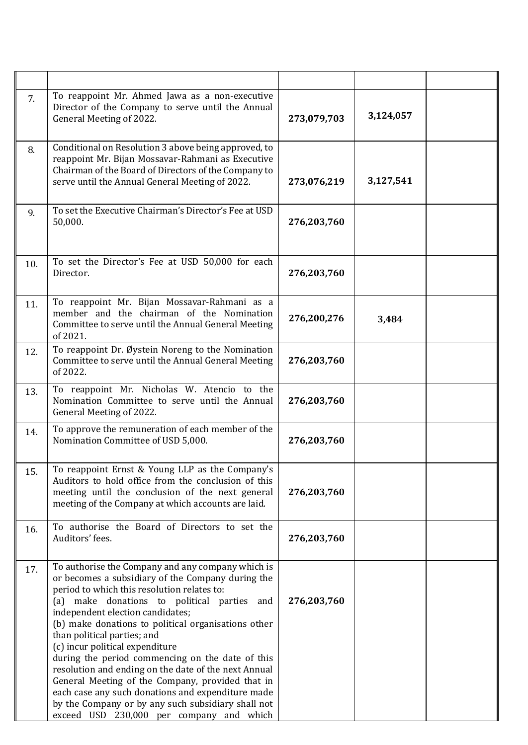| 7.  | To reappoint Mr. Ahmed Jawa as a non-executive<br>Director of the Company to serve until the Annual<br>General Meeting of 2022.                                                                                                                                                                                                                                                                                                                                                                                                                                                                                                                                                          | 273,079,703 | 3,124,057 |  |
|-----|------------------------------------------------------------------------------------------------------------------------------------------------------------------------------------------------------------------------------------------------------------------------------------------------------------------------------------------------------------------------------------------------------------------------------------------------------------------------------------------------------------------------------------------------------------------------------------------------------------------------------------------------------------------------------------------|-------------|-----------|--|
| 8.  | Conditional on Resolution 3 above being approved, to<br>reappoint Mr. Bijan Mossavar-Rahmani as Executive<br>Chairman of the Board of Directors of the Company to<br>serve until the Annual General Meeting of 2022.                                                                                                                                                                                                                                                                                                                                                                                                                                                                     | 273,076,219 | 3,127,541 |  |
| 9.  | To set the Executive Chairman's Director's Fee at USD<br>50,000.                                                                                                                                                                                                                                                                                                                                                                                                                                                                                                                                                                                                                         | 276,203,760 |           |  |
| 10. | To set the Director's Fee at USD 50,000 for each<br>Director.                                                                                                                                                                                                                                                                                                                                                                                                                                                                                                                                                                                                                            | 276,203,760 |           |  |
| 11. | To reappoint Mr. Bijan Mossavar-Rahmani as a<br>member and the chairman of the Nomination<br>Committee to serve until the Annual General Meeting<br>of 2021.                                                                                                                                                                                                                                                                                                                                                                                                                                                                                                                             | 276,200,276 | 3,484     |  |
| 12. | To reappoint Dr. Øystein Noreng to the Nomination<br>Committee to serve until the Annual General Meeting<br>of 2022.                                                                                                                                                                                                                                                                                                                                                                                                                                                                                                                                                                     | 276,203,760 |           |  |
| 13. | To reappoint Mr. Nicholas W. Atencio to the<br>Nomination Committee to serve until the Annual<br>General Meeting of 2022.                                                                                                                                                                                                                                                                                                                                                                                                                                                                                                                                                                | 276,203,760 |           |  |
| 14. | To approve the remuneration of each member of the<br>Nomination Committee of USD 5,000.                                                                                                                                                                                                                                                                                                                                                                                                                                                                                                                                                                                                  | 276,203,760 |           |  |
| 15. | To reappoint Ernst & Young LLP as the Company's<br>Auditors to hold office from the conclusion of this<br>meeting until the conclusion of the next general<br>meeting of the Company at which accounts are laid.                                                                                                                                                                                                                                                                                                                                                                                                                                                                         | 276,203,760 |           |  |
| 16. | To authorise the Board of Directors to set the<br>Auditors' fees.                                                                                                                                                                                                                                                                                                                                                                                                                                                                                                                                                                                                                        | 276,203,760 |           |  |
| 17. | To authorise the Company and any company which is<br>or becomes a subsidiary of the Company during the<br>period to which this resolution relates to:<br>(a) make donations to political parties and<br>independent election candidates;<br>(b) make donations to political organisations other<br>than political parties; and<br>(c) incur political expenditure<br>during the period commencing on the date of this<br>resolution and ending on the date of the next Annual<br>General Meeting of the Company, provided that in<br>each case any such donations and expenditure made<br>by the Company or by any such subsidiary shall not<br>exceed USD 230,000 per company and which | 276,203,760 |           |  |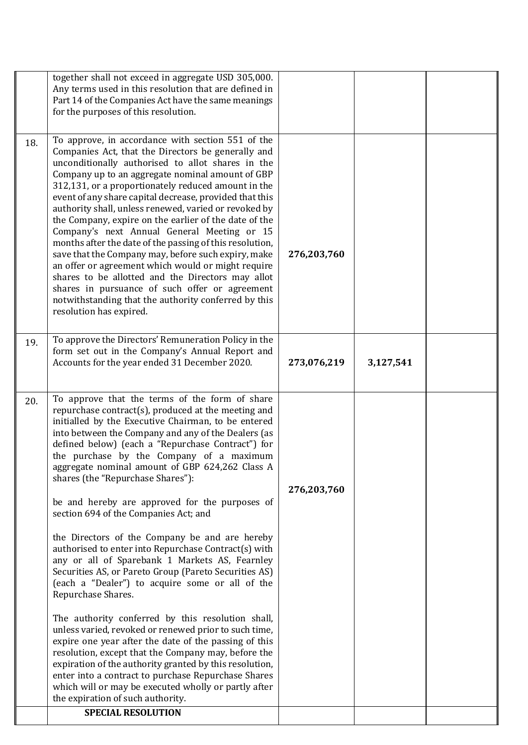|     | together shall not exceed in aggregate USD 305,000.<br>Any terms used in this resolution that are defined in<br>Part 14 of the Companies Act have the same meanings<br>for the purposes of this resolution.                                                                                                                                                                                                                                                                                                                                                                                                                                                                                                                                                                                                                                                            |             |           |  |
|-----|------------------------------------------------------------------------------------------------------------------------------------------------------------------------------------------------------------------------------------------------------------------------------------------------------------------------------------------------------------------------------------------------------------------------------------------------------------------------------------------------------------------------------------------------------------------------------------------------------------------------------------------------------------------------------------------------------------------------------------------------------------------------------------------------------------------------------------------------------------------------|-------------|-----------|--|
| 18. | To approve, in accordance with section 551 of the<br>Companies Act, that the Directors be generally and<br>unconditionally authorised to allot shares in the<br>Company up to an aggregate nominal amount of GBP<br>312,131, or a proportionately reduced amount in the<br>event of any share capital decrease, provided that this<br>authority shall, unless renewed, varied or revoked by<br>the Company, expire on the earlier of the date of the<br>Company's next Annual General Meeting or 15<br>months after the date of the passing of this resolution,<br>save that the Company may, before such expiry, make<br>an offer or agreement which would or might require<br>shares to be allotted and the Directors may allot<br>shares in pursuance of such offer or agreement<br>notwithstanding that the authority conferred by this<br>resolution has expired. | 276,203,760 |           |  |
| 19. | To approve the Directors' Remuneration Policy in the<br>form set out in the Company's Annual Report and<br>Accounts for the year ended 31 December 2020.                                                                                                                                                                                                                                                                                                                                                                                                                                                                                                                                                                                                                                                                                                               | 273,076,219 | 3,127,541 |  |
| 20. | To approve that the terms of the form of share<br>repurchase contract(s), produced at the meeting and<br>initialled by the Executive Chairman, to be entered<br>into between the Company and any of the Dealers (as<br>defined below) (each a "Repurchase Contract") for<br>the purchase by the Company of a maximum<br>aggregate nominal amount of GBP 624,262 Class A<br>shares (the "Repurchase Shares"):<br>be and hereby are approved for the purposes of<br>section 694 of the Companies Act; and<br>the Directors of the Company be and are hereby<br>authorised to enter into Repurchase Contract(s) with<br>any or all of Sparebank 1 Markets AS, Fearnley<br>Securities AS, or Pareto Group (Pareto Securities AS)<br>(each a "Dealer") to acquire some or all of the<br>Repurchase Shares.                                                                  | 276,203,760 |           |  |
|     | The authority conferred by this resolution shall,<br>unless varied, revoked or renewed prior to such time,<br>expire one year after the date of the passing of this<br>resolution, except that the Company may, before the<br>expiration of the authority granted by this resolution,<br>enter into a contract to purchase Repurchase Shares<br>which will or may be executed wholly or partly after<br>the expiration of such authority.                                                                                                                                                                                                                                                                                                                                                                                                                              |             |           |  |
|     | <b>SPECIAL RESOLUTION</b>                                                                                                                                                                                                                                                                                                                                                                                                                                                                                                                                                                                                                                                                                                                                                                                                                                              |             |           |  |